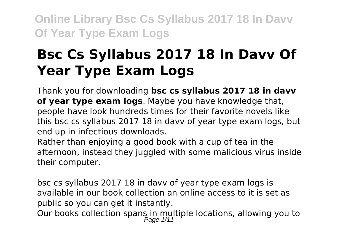# **Bsc Cs Syllabus 2017 18 In Davv Of Year Type Exam Logs**

Thank you for downloading **bsc cs syllabus 2017 18 in davv of year type exam logs**. Maybe you have knowledge that, people have look hundreds times for their favorite novels like this bsc cs syllabus 2017 18 in davv of year type exam logs, but end up in infectious downloads.

Rather than enjoying a good book with a cup of tea in the afternoon, instead they juggled with some malicious virus inside their computer.

bsc cs syllabus 2017 18 in davv of year type exam logs is available in our book collection an online access to it is set as public so you can get it instantly.

Our books collection spans in multiple locations, allowing you to<br>Page 1/11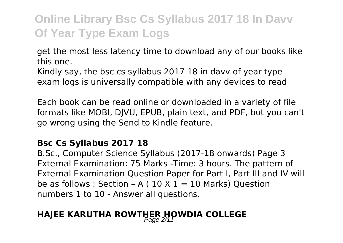get the most less latency time to download any of our books like this one.

Kindly say, the bsc cs syllabus 2017 18 in davv of year type exam logs is universally compatible with any devices to read

Each book can be read online or downloaded in a variety of file formats like MOBI, DJVU, EPUB, plain text, and PDF, but you can't go wrong using the Send to Kindle feature.

#### **Bsc Cs Syllabus 2017 18**

B.Sc., Computer Science Syllabus (2017-18 onwards) Page 3 External Examination: 75 Marks -Time: 3 hours. The pattern of External Examination Question Paper for Part I, Part III and IV will be as follows : Section - A (  $10 \times 1 = 10$  Marks) Ouestion numbers 1 to 10 - Answer all questions.

### **HAJEE KARUTHA ROWTHER HOWDIA COLLEGE**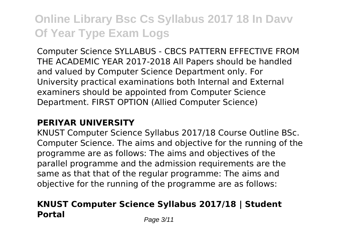Computer Science SYLLABUS - CBCS PATTERN EFFECTIVE FROM THE ACADEMIC YEAR 2017-2018 All Papers should be handled and valued by Computer Science Department only. For University practical examinations both Internal and External examiners should be appointed from Computer Science Department. FIRST OPTION (Allied Computer Science)

### **PERIYAR UNIVERSITY**

KNUST Computer Science Syllabus 2017/18 Course Outline BSc. Computer Science. The aims and objective for the running of the programme are as follows: The aims and objectives of the parallel programme and the admission requirements are the same as that that of the regular programme: The aims and objective for the running of the programme are as follows:

### **KNUST Computer Science Syllabus 2017/18 | Student Portal** Page 3/11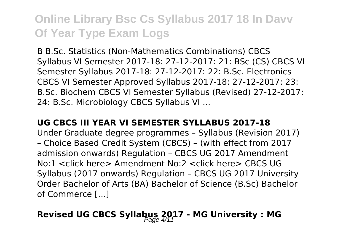B B.Sc. Statistics (Non-Mathematics Combinations) CBCS Syllabus VI Semester 2017-18: 27-12-2017: 21: BSc (CS) CBCS VI Semester Syllabus 2017-18: 27-12-2017: 22: B.Sc. Electronics CBCS VI Semester Approved Syllabus 2017-18: 27-12-2017: 23: B.Sc. Biochem CBCS VI Semester Syllabus (Revised) 27-12-2017: 24: B.Sc. Microbiology CBCS Syllabus VI ...

#### **UG CBCS III YEAR VI SEMESTER SYLLABUS 2017-18**

Under Graduate degree programmes – Syllabus (Revision 2017) – Choice Based Credit System (CBCS) – (with effect from 2017 admission onwards) Regulation – CBCS UG 2017 Amendment No:1 <click here> Amendment No:2 <click here> CBCS UG Syllabus (2017 onwards) Regulation – CBCS UG 2017 University Order Bachelor of Arts (BA) Bachelor of Science (B.Sc) Bachelor of Commerce […]

## Revised UG CBCS Syllabus 2017 - MG University : MG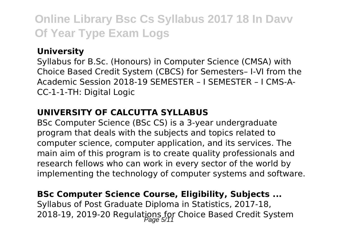### **University**

Syllabus for B.Sc. (Honours) in Computer Science (CMSA) with Choice Based Credit System (CBCS) for Semesters– I-VI from the Academic Session 2018-19 SEMESTER – I SEMESTER – I CMS-A-CC-1-1-TH: Digital Logic

#### **UNIVERSITY OF CALCUTTA SYLLABUS**

BSc Computer Science (BSc CS) is a 3-year undergraduate program that deals with the subjects and topics related to computer science, computer application, and its services. The main aim of this program is to create quality professionals and research fellows who can work in every sector of the world by implementing the technology of computer systems and software.

### **BSc Computer Science Course, Eligibility, Subjects ...**

Syllabus of Post Graduate Diploma in Statistics, 2017-18, 2018-19, 2019-20 Regulations for Choice Based Credit System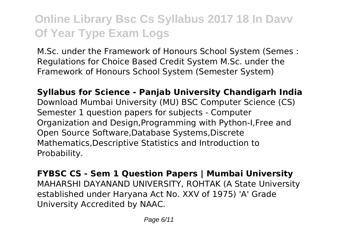M.Sc. under the Framework of Honours School System (Semes : Regulations for Choice Based Credit System M.Sc. under the Framework of Honours School System (Semester System)

**Syllabus for Science - Panjab University Chandigarh India** Download Mumbai University (MU) BSC Computer Science (CS) Semester 1 question papers for subjects - Computer Organization and Design,Programming with Python-I,Free and Open Source Software,Database Systems,Discrete Mathematics,Descriptive Statistics and Introduction to Probability.

**FYBSC CS - Sem 1 Question Papers | Mumbai University** MAHARSHI DAYANAND UNIVERSITY, ROHTAK (A State University established under Haryana Act No. XXV of 1975) 'A' Grade University Accredited by NAAC.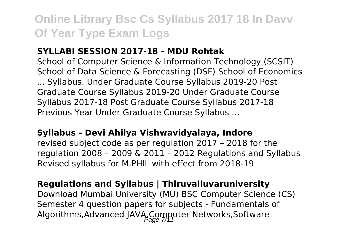#### **SYLLABI SESSION 2017-18 - MDU Rohtak**

School of Computer Science & Information Technology (SCSIT) School of Data Science & Forecasting (DSF) School of Economics ... Syllabus. Under Graduate Course Syllabus 2019-20 Post Graduate Course Syllabus 2019-20 Under Graduate Course Syllabus 2017-18 Post Graduate Course Syllabus 2017-18 Previous Year Under Graduate Course Syllabus ...

#### **Syllabus - Devi Ahilya Vishwavidyalaya, Indore**

revised subject code as per regulation 2017 – 2018 for the regulation 2008 – 2009 & 2011 – 2012 Regulations and Syllabus Revised syllabus for M.PHIL with effect from 2018-19

#### **Regulations and Syllabus | Thiruvalluvaruniversity**

Download Mumbai University (MU) BSC Computer Science (CS) Semester 4 question papers for subjects - Fundamentals of Algorithms,Advanced JAVA,Computer Networks,Software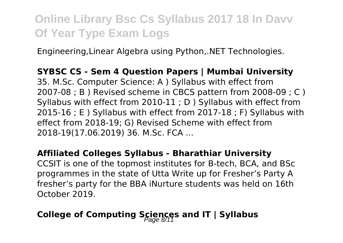Engineering,Linear Algebra using Python,.NET Technologies.

**SYBSC CS - Sem 4 Question Papers | Mumbai University** 35. M.Sc. Computer Science: A ) Syllabus with effect from 2007-08 ; B ) Revised scheme in CBCS pattern from 2008-09 ; C ) Syllabus with effect from 2010-11 ; D ) Syllabus with effect from 2015-16 ; E ) Syllabus with effect from 2017-18 ; F) Syllabus with effect from 2018-19; G) Revised Scheme with effect from 2018-19(17.06.2019) 36. M.Sc. FCA ...

#### **Affiliated Colleges Syllabus - Bharathiar University**

CCSIT is one of the topmost institutes for B-tech, BCA, and BSc programmes in the state of Utta Write up for Fresher's Party A fresher's party for the BBA iNurture students was held on 16th October 2019.

### College of Computing Sciences and IT | Syllabus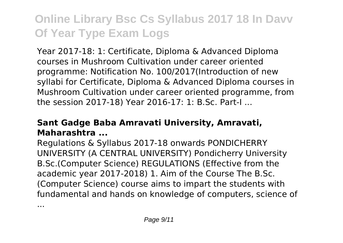Year 2017-18: 1: Certificate, Diploma & Advanced Diploma courses in Mushroom Cultivation under career oriented programme: Notification No. 100/2017(Introduction of new syllabi for Certificate, Diploma & Advanced Diploma courses in Mushroom Cultivation under career oriented programme, from the session 2017-18) Year 2016-17: 1: B.Sc. Part-I ...

### **Sant Gadge Baba Amravati University, Amravati, Maharashtra ...**

Regulations & Syllabus 2017-18 onwards PONDICHERRY UNIVERSITY (A CENTRAL UNIVERSITY) Pondicherry University B.Sc.(Computer Science) REGULATIONS (Effective from the academic year 2017-2018) 1. Aim of the Course The B.Sc. (Computer Science) course aims to impart the students with fundamental and hands on knowledge of computers, science of

...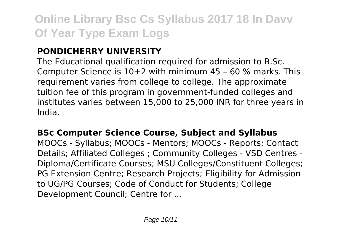### **PONDICHERRY UNIVERSITY**

The Educational qualification required for admission to B.Sc. Computer Science is 10+2 with minimum 45 – 60 % marks. This requirement varies from college to college. The approximate tuition fee of this program in government-funded colleges and institutes varies between 15,000 to 25,000 INR for three years in India.

### **BSc Computer Science Course, Subject and Syllabus**

MOOCs - Syllabus; MOOCs - Mentors; MOOCs - Reports; Contact Details; Affiliated Colleges ; Community Colleges - VSD Centres - Diploma/Certificate Courses; MSU Colleges/Constituent Colleges; PG Extension Centre; Research Projects; Eligibility for Admission to UG/PG Courses; Code of Conduct for Students; College Development Council; Centre for ...